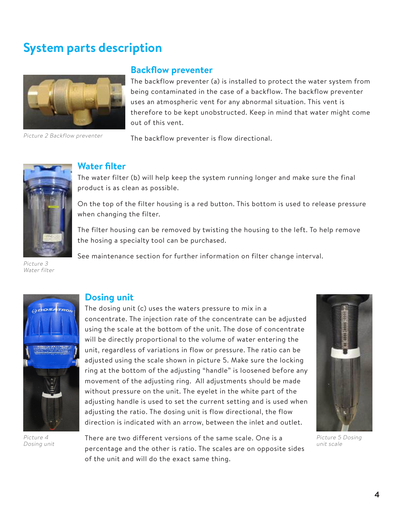# **System parts description**



Picture 2 Backflow preventer

#### **Backflow preventer**

The backflow preventer (a) is installed to protect the water system from being contaminated in the case of a backflow. The backflow preventer uses an atmospheric vent for any abnormal situation. This vent is therefore to be kept unobstructed. Keep in mind that water might come out of this vent.

The backflow preventer is flow directional.



Picture 3 Water filter



The water filter (b) will help keep the system running longer and make sure the final product is as clean as possible.

On the top of the filter housing is a red button. This bottom is used to release pressure when changing the filter.

The filter housing can be removed by twisting the housing to the left. To help remove the hosing a specialty tool can be purchased.

See maintenance section for further information on filter change interval.



Picture 4 Dosing unit

#### **Dosing unit**

The dosing unit (c) uses the waters pressure to mix in a concentrate. The injection rate of the concentrate can be adjusted using the scale at the bottom of the unit. The dose of concentrate will be directly proportional to the volume of water entering the unit, regardless of variations in flow or pressure. The ratio can be adjusted using the scale shown in picture 5. Make sure the locking ring at the bottom of the adjusting "handle" is loosened before any movement of the adjusting ring. All adjustments should be made without pressure on the unit. The eyelet in the white part of the adjusting handle is used to set the current setting and is used when adjusting the ratio. The dosing unit is flow directional, the flow direction is indicated with an arrow, between the inlet and outlet.



Picture 5 Dosing unit scale

There are two different versions of the same scale. One is a percentage and the other is ratio. The scales are on opposite sides of the unit and will do the exact same thing.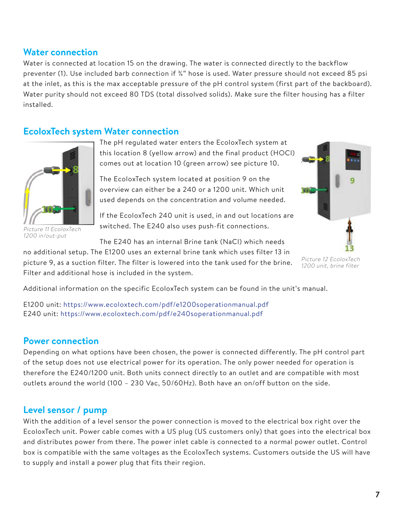#### **Water connection**

Water is connected at location 15 on the drawing. The water is connected directly to the backflow preventer (1). Use included barb connection if ¼" hose is used. Water pressure should not exceed 85 psi at the inlet, as this is the max acceptable pressure of the pH control system (first part of the backboard). Water purity should not exceed 80 TDS (total dissolved solids). Make sure the filter housing has a filter installed.

## **)** system Water connection



Picture 11 *EWCO* 1200 in/out-put

The pH regulated water enters the  $)$  syst em at this location 8 (yellow arrow) and the final product (HOCl) comes out at location 10 (green arrow) see picture 10.

The EWCO system located at position 9 on the overview can either be a 240 or a 1200 unit. Which unit used depends on the concentration and volume needed.

If the EWCO 240 unit is used, in and out locations are switched. The E240 also uses push-fit connections.

The E240 has an internal Brine tank (NaCl) which needs

no additional setup. The E1200 uses an external brine tank which uses filter 13 in picture 9, as a suction filter. The filter is lowered into the tank used for the brine. Filter and additional hose is included in the system.



Picture 12 ) **3** 1200 unit, brine filter

Additional information on the specific EWCO system can be found in the unit's manual.

E1200 unit: https://www.EWCO.com/pdf/e1200soperationmanual.pdf E240 unit: https://www.EWCO.com/pdf/e240soperationmanual.pdf

## **Power connection**

Depending on what options have been chosen, the power is connected differently. The pH control part of the setup does not use electrical power for its operation. The only power needed for operation is therefore the E240/1200 unit. Both units connect directly to an outlet and are compatible with most outlets around the world (100 – 230 Vac, 50/60Hz). Both have an on/off button on the side.

## **Level sensor / pump**

With the addition of a level sensor the power connection is moved to the electrical box right over the EWCO unit. Power cable comes with a US plug (US customers only) that goes into the electrical box and distributes power from there. The power inlet cable is connected to a normal power outlet. Control box is compatible with the same voltages as the EWCO systems. Customers outside the US will have to supply and install a power plug that fits their region.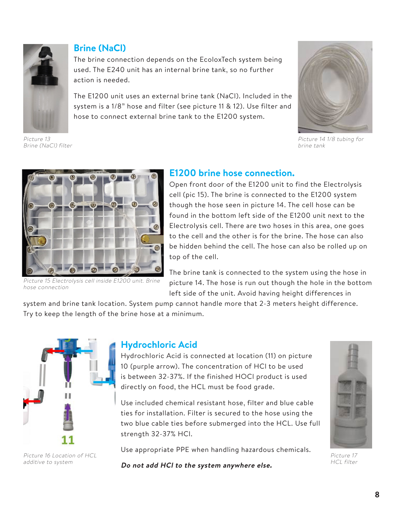

Brine (NaCl) filter

**Brine (NaCl)** 

The brine connection depends on the EWCO system being used. The E240 unit has an internal brine tank, so no further action is needed.

The E1200 unit uses an external brine tank (NaCl). Included in the system is a 1/8" hose and filter (see picture 11 & 12). Use filter and hose to connect external brine tank to the E1200 system.



Picture 14 1/8 tubing for brine tank



Picture 15 Electrolysis cell inside E1200 unit. Brine hose connection

## **E1200 brine hose connection.**

Open front door of the E1200 unit to find the Electrolysis cell (pic 15). The brine is connected to the E1200 system though the hose seen in picture 14. The cell hose can be found in the bottom left side of the E1200 unit next to the Electrolysis cell. There are two hoses in this area, one goes to the cell and the other is for the brine. The hose can also be hidden behind the cell. The hose can also be rolled up on top of the cell.

The brine tank is connected to the system using the hose in picture 14. The hose is run out though the hole in the bottom left side of the unit. Avoid having height differences in

system and brine tank location. System pump cannot handle more that 2-3 meters height difference. Try to keep the length of the brine hose at a minimum.



Picture 16 Location of HCL additive to system

# **Hydrochloric Acid**

Hydrochloric Acid is connected at location (11) on picture 10 (purple arrow). The concentration of HCl to be used is between 32-37%. If the finished HOCl product is used directly on food, the HCL must be food grade.

Use included chemical resistant hose, filter and blue cable ties for installation. Filter is secured to the hose using the two blue cable ties before submerged into the HCL. Use full strength 32-37% HCl.

Use appropriate PPE when handling hazardous chemicals.



Picture 17 HCL filter

**Do not add HCl to the system anywhere else.**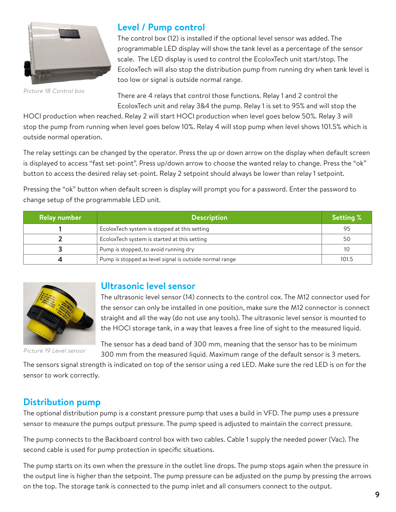

Picture 18 Control box

# **Level / Pump control**

The control box (12) is installed if the optional level sensor was added. The programmable LED display will show the tank level as a percentage of the sensor scale. The LED display is used to control the EWCO unit start/stop. The EWCO will also stop the distribution pump from running dry when tank level is too low or signal is outside normal range.

There are 4 relays that control those functions. Relay 1 and 2 control the EWCO unit and relay 3&4 the pump. Relay 1 is set to 95% and will stop the HOCl

production when reached. Relay 2 will start HOCl production when level goes below 50%. Relay 3 will stop the pump from running when level goes below 10%. Relay 4 will stop pump when level shows 101.5% which is outside normal operation.

The relay settings can be changed by the operator. Press the up or down arrow on the display when default screen is displayed to access "fast set-point". Press up/down arrow to choose the wanted relay to change. Press the "ok" button to access the desired relay set-point. Relay 2 setpoint should always be lower than relay 1 setpoint.

Pressing the "ok" button when default screen is display will prompt you for a password. Enter the password to change setup of the programmable LED unit.

| <b>Relay number</b> | <b>Description</b>                                      |       |  |  |
|---------------------|---------------------------------------------------------|-------|--|--|
|                     | EWCO system is stopped at this setting                  | 95    |  |  |
|                     | EWCO system is started at this setting                  | 50    |  |  |
|                     | Pump is stopped, to avoid running dry                   |       |  |  |
|                     | Pump is stopped as level signal is outside normal range | 101.5 |  |  |



#### **Ultrasonic level sensor**

The ultrasonic level sensor (14) connects to the control cox. The M12 connector used for the sensor can only be installed in one position, make sure the M12 connector is connect straight and all the way (do not use any tools). The ultrasonic level sensor is mounted to the HOCl storage tank, in a way that leaves a free line of sight to the measured liquid.

Picture 19 Level sensor

The sensor has a dead band of 300 mm, meaning that the sensor has to be minimum 300 mm from the measured liquid. Maximum range of the default sensor is 3 meters.

The sensors signal strength is indicated on top of the sensor using a red LED. Make sure the red LED is on for the sensor to work correctly.

## **Distribution pump**

The optional distribution pump is a constant pressure pump that uses a build in VFD. The pump uses a pressure sensor to measure the pumps output pressure. The pump speed is adjusted to maintain the correct pressure.

The pump connects to the Backboard control box with two cables. Cable 1 supply the needed power (Vac). The second cable is used for pump protection in specific situations.

The pump starts on its own when the pressure in the outlet line drops. The pump stops again when the pressure in the output line is higher than the setpoint. The pump pressure can be adjusted on the pump by pressing the arrows on the top. The storage tank is connected to the pump inlet and all consumers connect to the output.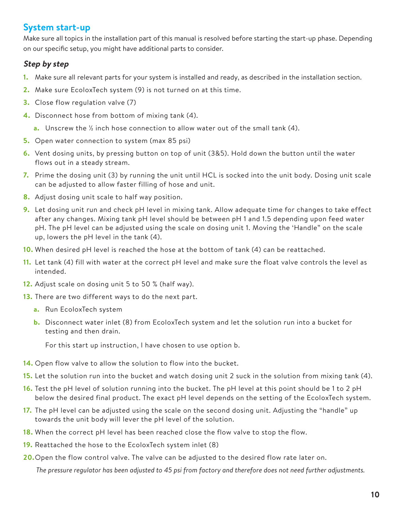# **System start-up**

Make sure all topics in the installation part of this manual is resolved before starting the start-up phase. Depending on our specific setup, you might have additional parts to consider.

#### **Step by step**

- **1.** Make sure all relevant parts for your system is installed and ready, as described in the installation section.
- **2.** Make sure EWCO system (9) is not turned on at this time.
- **3.** Close flow regulation valve (7)
- **4.** Disconnect hose from bottom of mixing tank (4).
	- **a.** Unscrew the <sup>1/2</sup> inch hose connection to allow water out of the small tank (4).
- **5.** Open water connection to system (max 85 psi)
- **6.** Vent dosing units, by pressing button on top of unit (3&5). Hold down the button until the water flows out in a steady stream.
- **7.** Prime the dosing unit (3) by running the unit until HCL is socked into the unit body. Dosing unit scale can be adjusted to allow faster filling of hose and unit.
- **8.** Adjust dosing unit scale to half way position.
- **9.** Let dosing unit run and check pH level in mixing tank. Allow adequate time for changes to take effect after any changes. Mixing tank pH level should be between pH 1 and 1.5 depending upon feed water pH. The pH level can be adjusted using the scale on dosing unit 1. Moving the 'Handle" on the scale up, lowers the pH level in the tank (4).
- **10.** When desired pH level is reached the hose at the bottom of tank (4) can be reattached.
- **11.** Let tank (4) fill with water at the correct pH level and make sure the float valve controls the level as intended.
- **12.** Adjust scale on dosing unit 5 to 50 % (half way).
- **13.** There are two different ways to do the next part.
	- **a.** Run EWCO system
	- **b.** Disconnect water inlet (8) from EWCO system and let the solution run into a bucket for testing and then drain.

For this start up instruction, I have chosen to use option b.

- **14.** Open flow valve to allow the solution to flow into the bucket.
- **15.** Let the solution run into the bucket and watch dosing unit 2 suck in the solution from mixing tank (4).
- **16.** Test the pH level of solution running into the bucket. The pH level at this point should be 1 to 2 pH below the desired final product. The exact pH level depends on the setting of the EWCO system.
- **17.** The pH level can be adjusted using the scale on the second dosing unit. Adjusting the "handle" up towards the unit body will lever the pH level of the solution.
- **18.** When the correct pH level has been reached close the flow valve to stop the flow.
- **19.** Reattached the hose to the EWCO system inlet (8)
- **20.** Open the flow control valve. The valve can be adjusted to the desired flow rate later on.

*The pressure regulator has been adjusted to 45 psi from factory and therefore does not need further adjustments.*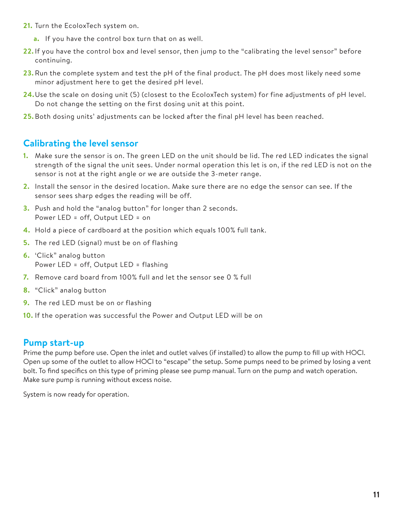- **21.** Turn the EWCO system on.
	- **a.** If you have the control box turn that on as well.
- 22. If you have the control box and level sensor, then jump to the "calibrating the level sensor" before continuing.
- **23.** Run the complete system and test the pH of the final product. The pH does most likely need some minor adjustment here to get the desired pH level.
- **24.** Use the scale on dosing unit (5) (closest to the EWCO system) for fine adjustments of pH level. Do not change the setting on the first dosing unit at this point.
- **25.** Both dosing units' adjustments can be locked after the final pH level has been reached.

## **Calibrating the level sensor**

- **1.** Make sure the sensor is on. The green LED on the unit should be lid. The red LED indicates the signal strength of the signal the unit sees. Under normal operation this let is on, if the red LED is not on the sensor is not at the right angle or we are outside the 3-meter range.
- **2.** Install the sensor in the desired location. Make sure there are no edge the sensor can see. If the sensor sees sharp edges the reading will be off.
- **3.** Push and hold the "analog button" for longer than 2 seconds. Power LED = off, Output LED = on
- **4.** Hold a piece of cardboard at the position which equals 100% full tank.
- **5.** The red LED (signal) must be on of flashing
- **6.** 'Click" analog button Power LED = off, Output LED = flashing
- **7.** Remove card board from 100% full and let the sensor see 0 % full
- **8.** "Click" analog button
- **9.** The red LED must be on or flashing
- **10.** If the operation was successful the Power and Output LED will be on

#### **Pump start-up**

Prime the pump before use. Open the inlet and outlet valves (if installed) to allow the pump to fill up with HOCl. Open up some of the outlet to allow HOCl to "escape" the setup. Some pumps need to be primed by losing a vent bolt. To find specifics on this type of priming please see pump manual. Turn on the pump and watch operation. Make sure pump is running without excess noise.

System is now ready for operation.